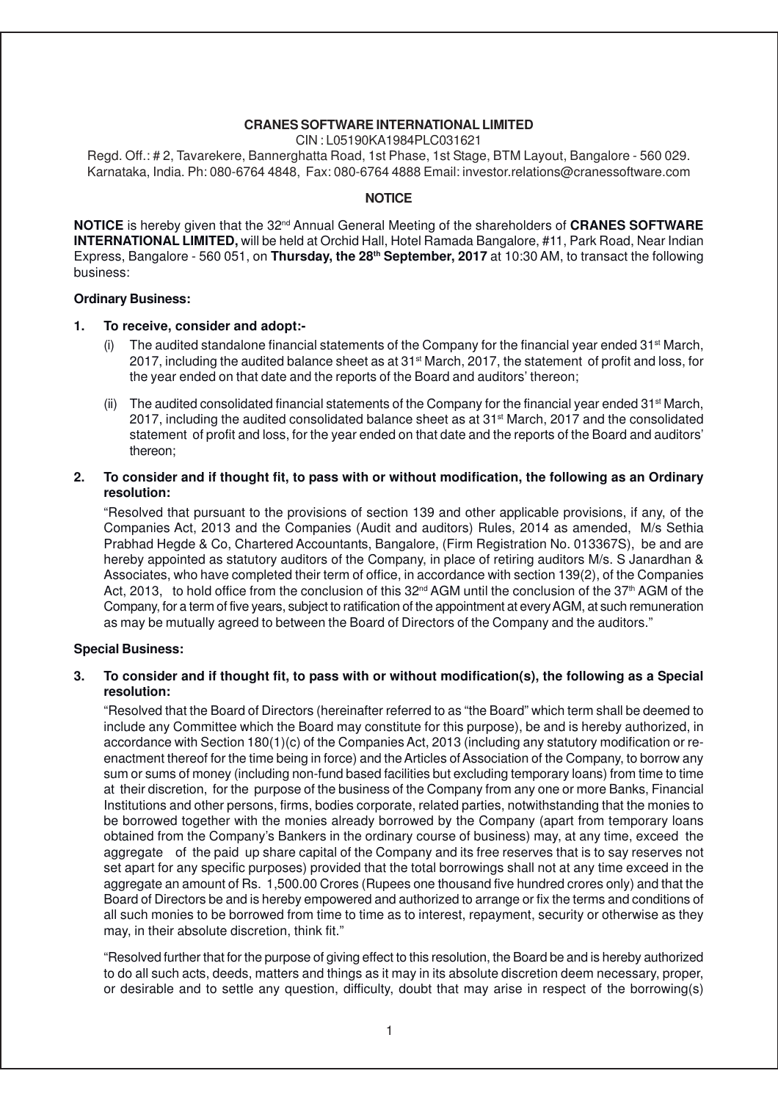### **CRANES SOFTWARE INTERNATIONAL LIMITED**

CIN : L05190KA1984PLC031621

Regd. Off.: # 2, Tavarekere, Bannerghatta Road, 1st Phase, 1st Stage, BTM Layout, Bangalore - 560 029. Karnataka, India. Ph: 080-6764 4848, Fax: 080-6764 4888 Email: investor.relations@cranessoftware.com

### **NOTICE**

**NOTICE** is hereby given that the 32<sup>nd</sup> Annual General Meeting of the shareholders of **CRANES SOFTWARE INTERNATIONAL LIMITED,** will be held at Orchid Hall, Hotel Ramada Bangalore, #11, Park Road, Near Indian Express, Bangalore - 560 051, on **Thursday, the 28th September, 2017** at 10:30 AM, to transact the following business:

#### **Ordinary Business:**

### **1. To receive, consider and adopt:-**

- The audited standalone financial statements of the Company for the financial year ended  $31<sup>st</sup> March$ , 2017, including the audited balance sheet as at 31st March, 2017, the statement of profit and loss, for the year ended on that date and the reports of the Board and auditors' thereon;
- (ii) The audited consolidated financial statements of the Company for the financial year ended  $31<sup>st</sup>$  March, 2017, including the audited consolidated balance sheet as at 31st March, 2017 and the consolidated statement of profit and loss, for the year ended on that date and the reports of the Board and auditors' thereon;

### **2. To consider and if thought fit, to pass with or without modification, the following as an Ordinary resolution:**

"Resolved that pursuant to the provisions of section 139 and other applicable provisions, if any, of the Companies Act, 2013 and the Companies (Audit and auditors) Rules, 2014 as amended, M/s Sethia Prabhad Hegde & Co, Chartered Accountants, Bangalore, (Firm Registration No. 013367S), be and are hereby appointed as statutory auditors of the Company, in place of retiring auditors M/s. S Janardhan & Associates, who have completed their term of office, in accordance with section 139(2), of the Companies Act, 2013, to hold office from the conclusion of this  $32^{nd}$  AGM until the conclusion of the  $37<sup>th</sup>$  AGM of the Company, for a term of five years, subject to ratification of the appointment at every AGM, at such remuneration as may be mutually agreed to between the Board of Directors of the Company and the auditors."

### **Special Business:**

### **3. To consider and if thought fit, to pass with or without modification(s), the following as a Special resolution:**

"Resolved that the Board of Directors (hereinafter referred to as "the Board" which term shall be deemed to include any Committee which the Board may constitute for this purpose), be and is hereby authorized, in accordance with Section 180(1)(c) of the Companies Act, 2013 (including any statutory modification or reenactment thereof for the time being in force) and the Articles of Association of the Company, to borrow any sum or sums of money (including non-fund based facilities but excluding temporary loans) from time to time at their discretion, for the purpose of the business of the Company from any one or more Banks, Financial Institutions and other persons, firms, bodies corporate, related parties, notwithstanding that the monies to be borrowed together with the monies already borrowed by the Company (apart from temporary loans obtained from the Company's Bankers in the ordinary course of business) may, at any time, exceed the aggregate of the paid up share capital of the Company and its free reserves that is to say reserves not set apart for any specific purposes) provided that the total borrowings shall not at any time exceed in the aggregate an amount of Rs. 1,500.00 Crores (Rupees one thousand five hundred crores only) and that the Board of Directors be and is hereby empowered and authorized to arrange or fix the terms and conditions of all such monies to be borrowed from time to time as to interest, repayment, security or otherwise as they may, in their absolute discretion, think fit."

"Resolved further that for the purpose of giving effect to this resolution, the Board be and is hereby authorized to do all such acts, deeds, matters and things as it may in its absolute discretion deem necessary, proper, or desirable and to settle any question, difficulty, doubt that may arise in respect of the borrowing(s)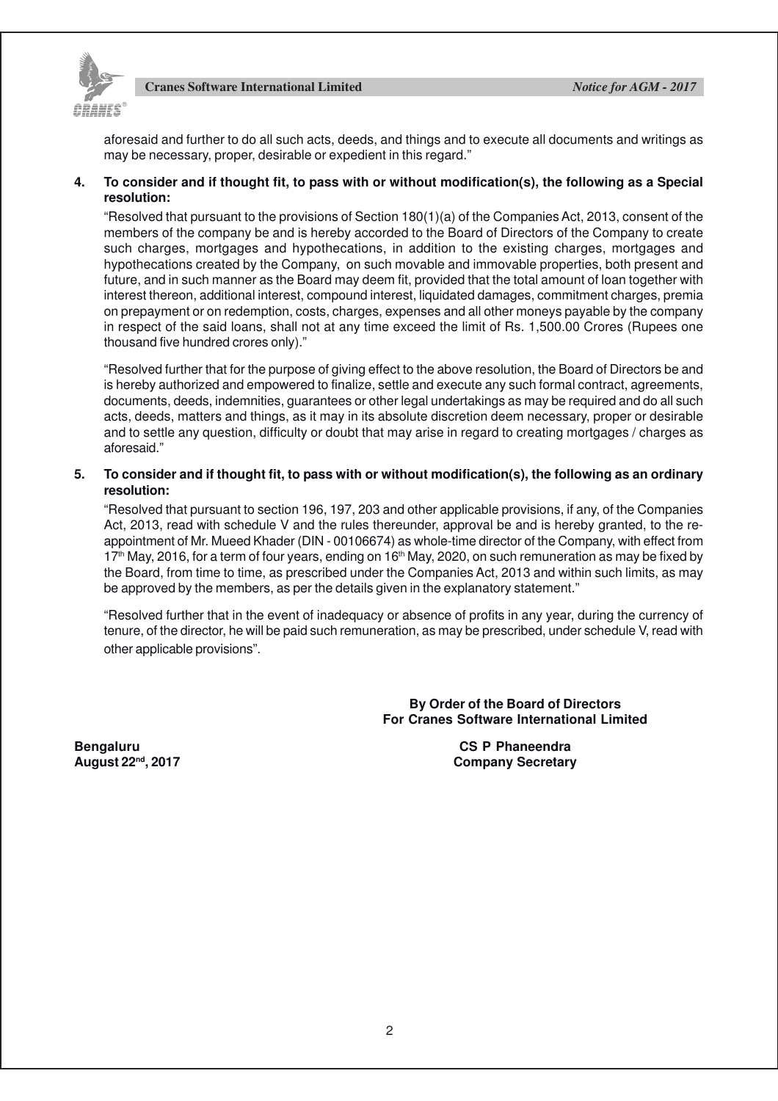

aforesaid and further to do all such acts, deeds, and things and to execute all documents and writings as may be necessary, proper, desirable or expedient in this regard."

### **4. To consider and if thought fit, to pass with or without modification(s), the following as a Special resolution:**

"Resolved that pursuant to the provisions of Section 180(1)(a) of the Companies Act, 2013, consent of the members of the company be and is hereby accorded to the Board of Directors of the Company to create such charges, mortgages and hypothecations, in addition to the existing charges, mortgages and hypothecations created by the Company, on such movable and immovable properties, both present and future, and in such manner as the Board may deem fit, provided that the total amount of loan together with interest thereon, additional interest, compound interest, liquidated damages, commitment charges, premia on prepayment or on redemption, costs, charges, expenses and all other moneys payable by the company in respect of the said loans, shall not at any time exceed the limit of Rs. 1,500.00 Crores (Rupees one thousand five hundred crores only)."

"Resolved further that for the purpose of giving effect to the above resolution, the Board of Directors be and is hereby authorized and empowered to finalize, settle and execute any such formal contract, agreements, documents, deeds, indemnities, guarantees or other legal undertakings as may be required and do all such acts, deeds, matters and things, as it may in its absolute discretion deem necessary, proper or desirable and to settle any question, difficulty or doubt that may arise in regard to creating mortgages / charges as aforesaid."

### **5. To consider and if thought fit, to pass with or without modification(s), the following as an ordinary resolution:**

"Resolved that pursuant to section 196, 197, 203 and other applicable provisions, if any, of the Companies Act, 2013, read with schedule V and the rules thereunder, approval be and is hereby granted, to the reappointment of Mr. Mueed Khader (DIN - 00106674) as whole-time director of the Company, with effect from  $17<sup>th</sup>$  May, 2016, for a term of four years, ending on  $16<sup>th</sup>$  May, 2020, on such remuneration as may be fixed by the Board, from time to time, as prescribed under the Companies Act, 2013 and within such limits, as may be approved by the members, as per the details given in the explanatory statement."

"Resolved further that in the event of inadequacy or absence of profits in any year, during the currency of tenure, of the director, he will be paid such remuneration, as may be prescribed, under schedule V, read with other applicable provisions".

> **By Order of the Board of Directors For Cranes Software International Limited**

**Bengaluru CS P Phaneendra August 22nd, 2017 Company Secretary**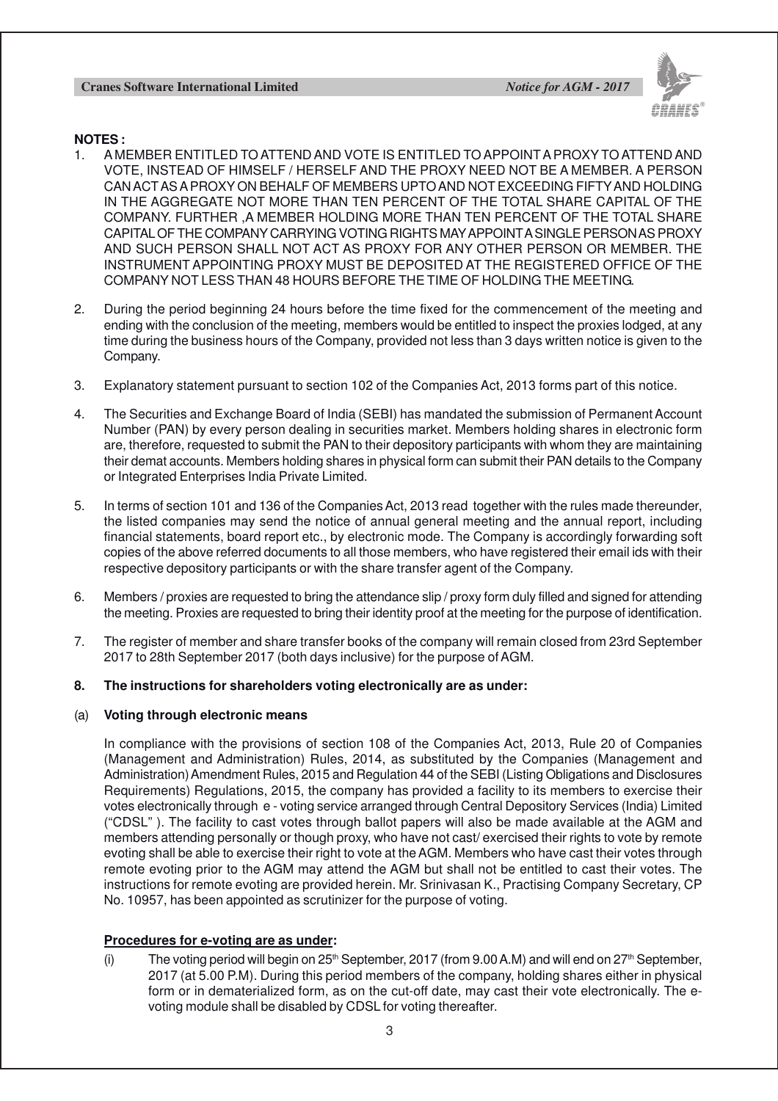

### **NOTES :**

- 1. A MEMBER ENTITLED TO ATTEND AND VOTE IS ENTITLED TO APPOINT A PROXY TO ATTEND AND VOTE, INSTEAD OF HIMSELF / HERSELF AND THE PROXY NEED NOT BE A MEMBER. A PERSON CAN ACTAS A PROXY ON BEHALF OF MEMBERS UPTO AND NOT EXCEEDING FIFTYAND HOLDING IN THE AGGREGATE NOT MORE THAN TEN PERCENT OF THE TOTAL SHARE CAPITAL OF THE COMPANY. FURTHER ,A MEMBER HOLDING MORE THAN TEN PERCENT OF THE TOTAL SHARE CAPITAL OF THE COMPANY CARRYING VOTING RIGHTS MAY APPOINT A SINGLE PERSON AS PROXY AND SUCH PERSON SHALL NOT ACT AS PROXY FOR ANY OTHER PERSON OR MEMBER. THE INSTRUMENT APPOINTING PROXY MUST BE DEPOSITED AT THE REGISTERED OFFICE OF THE COMPANY NOT LESS THAN 48 HOURS BEFORE THE TIME OF HOLDING THE MEETING.
- 2. During the period beginning 24 hours before the time fixed for the commencement of the meeting and ending with the conclusion of the meeting, members would be entitled to inspect the proxies lodged, at any time during the business hours of the Company, provided not less than 3 days written notice is given to the Company.
- 3. Explanatory statement pursuant to section 102 of the Companies Act, 2013 forms part of this notice.
- 4. The Securities and Exchange Board of India (SEBI) has mandated the submission of Permanent Account Number (PAN) by every person dealing in securities market. Members holding shares in electronic form are, therefore, requested to submit the PAN to their depository participants with whom they are maintaining their demat accounts. Members holding shares in physical form can submit their PAN details to the Company or Integrated Enterprises India Private Limited.
- 5. In terms of section 101 and 136 of the Companies Act, 2013 read together with the rules made thereunder, the listed companies may send the notice of annual general meeting and the annual report, including financial statements, board report etc., by electronic mode. The Company is accordingly forwarding soft copies of the above referred documents to all those members, who have registered their email ids with their respective depository participants or with the share transfer agent of the Company.
- 6. Members / proxies are requested to bring the attendance slip / proxy form duly filled and signed for attending the meeting. Proxies are requested to bring their identity proof at the meeting for the purpose of identification.
- 7. The register of member and share transfer books of the company will remain closed from 23rd September 2017 to 28th September 2017 (both days inclusive) for the purpose of AGM.

### **8. The instructions for shareholders voting electronically are as under:**

### (a) **Voting through electronic means**

In compliance with the provisions of section 108 of the Companies Act, 2013, Rule 20 of Companies (Management and Administration) Rules, 2014, as substituted by the Companies (Management and Administration) Amendment Rules, 2015 and Regulation 44 of the SEBI (Listing Obligations and Disclosures Requirements) Regulations, 2015, the company has provided a facility to its members to exercise their votes electronically through e - voting service arranged through Central Depository Services (India) Limited ("CDSL" ). The facility to cast votes through ballot papers will also be made available at the AGM and members attending personally or though proxy, who have not cast/ exercised their rights to vote by remote evoting shall be able to exercise their right to vote at the AGM. Members who have cast their votes through remote evoting prior to the AGM may attend the AGM but shall not be entitled to cast their votes. The instructions for remote evoting are provided herein. Mr. Srinivasan K., Practising Company Secretary, CP No. 10957, has been appointed as scrutinizer for the purpose of voting.

### **Procedures for e-voting are as under:**

(i) The voting period will begin on  $25<sup>th</sup>$  September, 2017 (from 9.00 A.M) and will end on  $27<sup>th</sup>$  September, 2017 (at 5.00 P.M). During this period members of the company, holding shares either in physical form or in dematerialized form, as on the cut-off date, may cast their vote electronically. The evoting module shall be disabled by CDSL for voting thereafter.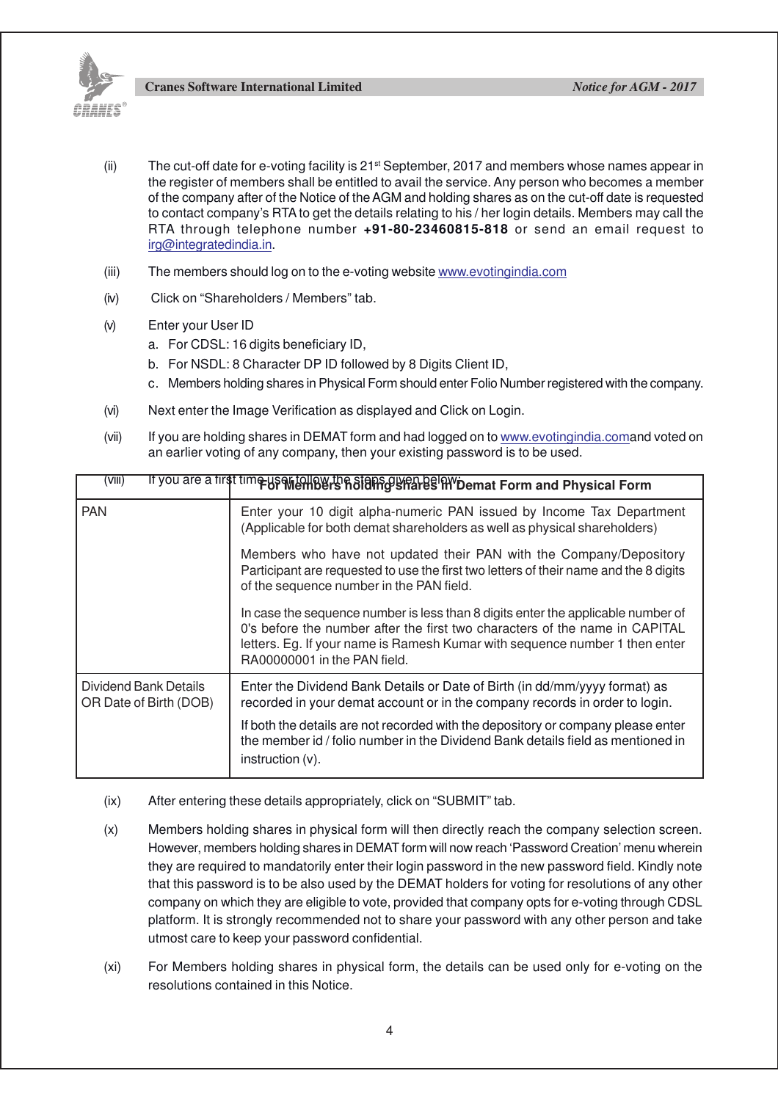

- (ii) The cut-off date for e-voting facility is  $21^{st}$  September, 2017 and members whose names appear in the register of members shall be entitled to avail the service. Any person who becomes a member of the company after of the Notice of the AGM and holding shares as on the cut-off date is requested to contact company's RTA to get the details relating to his / her login details. Members may call the RTA through telephone number **+91-80-23460815-818** or send an email request to irg@integratedindia.in.
- (iii) The members should log on to the e-voting website www.evotingindia.com
- (iv) Click on "Shareholders / Members" tab.
- (v) Enter your User ID
	- a. For CDSL: 16 digits beneficiary ID,
	- b. For NSDL: 8 Character DP ID followed by 8 Digits Client ID,
	- c. Members holding shares in Physical Form should enter Folio Number registered with the company.
- (vi) Next enter the Image Verification as displayed and Click on Login.
- (vii) If you are holding shares in DEMAT form and had logged on to www.evotingindia.comand voted on an earlier voting of any company, then your existing password is to be used.

| (VIII)                                          | If you are a first time useful ow the Staps given below bemat Form and Physical Form                                                                                                                                                                                           |  |  |
|-------------------------------------------------|--------------------------------------------------------------------------------------------------------------------------------------------------------------------------------------------------------------------------------------------------------------------------------|--|--|
| <b>PAN</b>                                      | Enter your 10 digit alpha-numeric PAN issued by Income Tax Department<br>(Applicable for both demat shareholders as well as physical shareholders)                                                                                                                             |  |  |
|                                                 | Members who have not updated their PAN with the Company/Depository<br>Participant are requested to use the first two letters of their name and the 8 digits<br>of the sequence number in the PAN field.                                                                        |  |  |
|                                                 | In case the sequence number is less than 8 digits enter the applicable number of<br>0's before the number after the first two characters of the name in CAPITAL<br>letters. Eg. If your name is Ramesh Kumar with sequence number 1 then enter<br>RA00000001 in the PAN field. |  |  |
| Dividend Bank Details<br>OR Date of Birth (DOB) | Enter the Dividend Bank Details or Date of Birth (in dd/mm/yyyy format) as<br>recorded in your demat account or in the company records in order to login.                                                                                                                      |  |  |
|                                                 | If both the details are not recorded with the depository or company please enter<br>the member id / folio number in the Dividend Bank details field as mentioned in<br>$instruction (v)$ .                                                                                     |  |  |

- (ix) After entering these details appropriately, click on "SUBMIT" tab.
- (x) Members holding shares in physical form will then directly reach the company selection screen. However, members holding shares in DEMAT form will now reach 'Password Creation' menu wherein they are required to mandatorily enter their login password in the new password field. Kindly note that this password is to be also used by the DEMAT holders for voting for resolutions of any other company on which they are eligible to vote, provided that company opts for e-voting through CDSL platform. It is strongly recommended not to share your password with any other person and take utmost care to keep your password confidential.
- (xi) For Members holding shares in physical form, the details can be used only for e-voting on the resolutions contained in this Notice.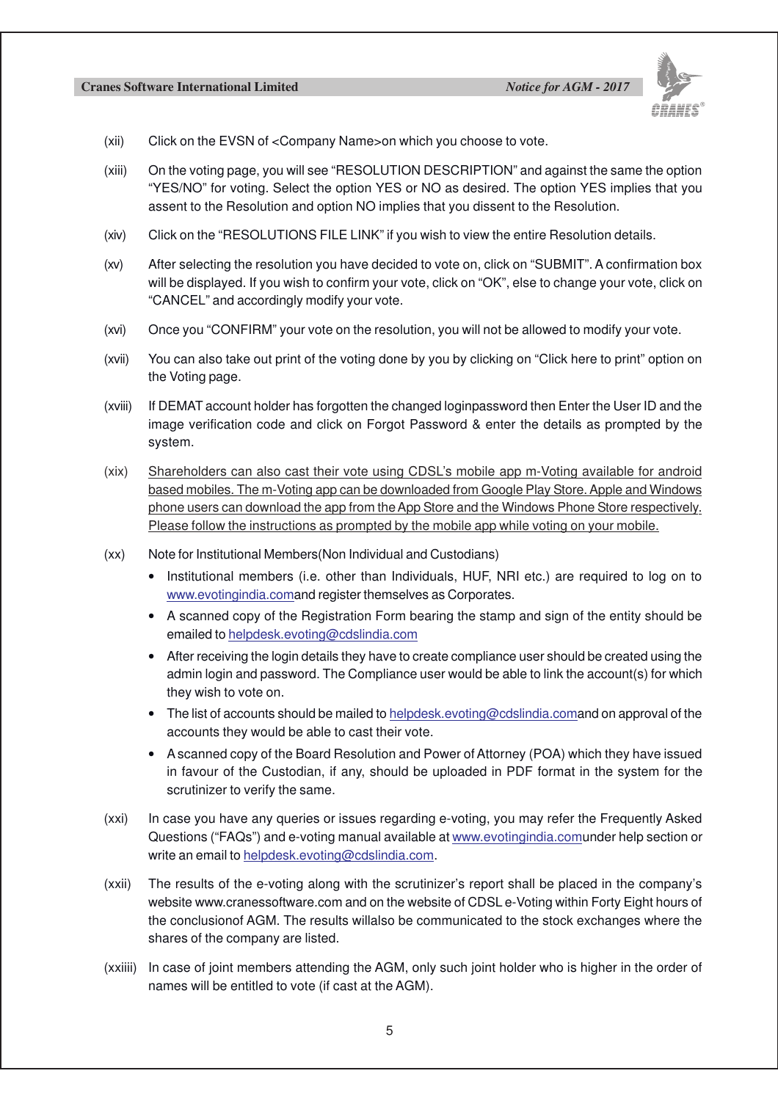

- (xii) Click on the EVSN of <Company Name>on which you choose to vote.
- (xiii) On the voting page, you will see "RESOLUTION DESCRIPTION" and against the same the option "YES/NO" for voting. Select the option YES or NO as desired. The option YES implies that you assent to the Resolution and option NO implies that you dissent to the Resolution.
- (xiv) Click on the "RESOLUTIONS FILE LINK" if you wish to view the entire Resolution details.
- (xv) After selecting the resolution you have decided to vote on, click on "SUBMIT". A confirmation box will be displayed. If you wish to confirm your vote, click on "OK", else to change your vote, click on "CANCEL" and accordingly modify your vote.
- (xvi) Once you "CONFIRM" your vote on the resolution, you will not be allowed to modify your vote.
- (xvii) You can also take out print of the voting done by you by clicking on "Click here to print" option on the Voting page.
- (xviii) If DEMAT account holder has forgotten the changed loginpassword then Enter the User ID and the image verification code and click on Forgot Password & enter the details as prompted by the system.
- (xix) Shareholders can also cast their vote using CDSL's mobile app m-Voting available for android based mobiles. The m-Voting app can be downloaded from Google Play Store. Apple and Windows phone users can download the app from the App Store and the Windows Phone Store respectively. Please follow the instructions as prompted by the mobile app while voting on your mobile.
- (xx) Note for Institutional Members(Non Individual and Custodians)
	- Institutional members (i.e. other than Individuals, HUF, NRI etc.) are required to log on to www.evotingindia.comand register themselves as Corporates.
	- A scanned copy of the Registration Form bearing the stamp and sign of the entity should be emailed to helpdesk.evoting@cdslindia.com
	- After receiving the login details they have to create compliance user should be created using the admin login and password. The Compliance user would be able to link the account(s) for which they wish to vote on.
	- The list of accounts should be mailed to helpdesk.evoting@cdslindia.comand on approval of the accounts they would be able to cast their vote.
	- A scanned copy of the Board Resolution and Power of Attorney (POA) which they have issued in favour of the Custodian, if any, should be uploaded in PDF format in the system for the scrutinizer to verify the same.
- (xxi) In case you have any queries or issues regarding e-voting, you may refer the Frequently Asked Questions ("FAQs") and e-voting manual available at www.evotingindia.comunder help section or write an email to helpdesk.evoting@cdslindia.com.
- (xxii) The results of the e-voting along with the scrutinizer's report shall be placed in the company's website www.cranessoftware.com and on the website of CDSL e-Voting within Forty Eight hours of the conclusionof AGM. The results willalso be communicated to the stock exchanges where the shares of the company are listed.
- (xxiiii) In case of joint members attending the AGM, only such joint holder who is higher in the order of names will be entitled to vote (if cast at the AGM).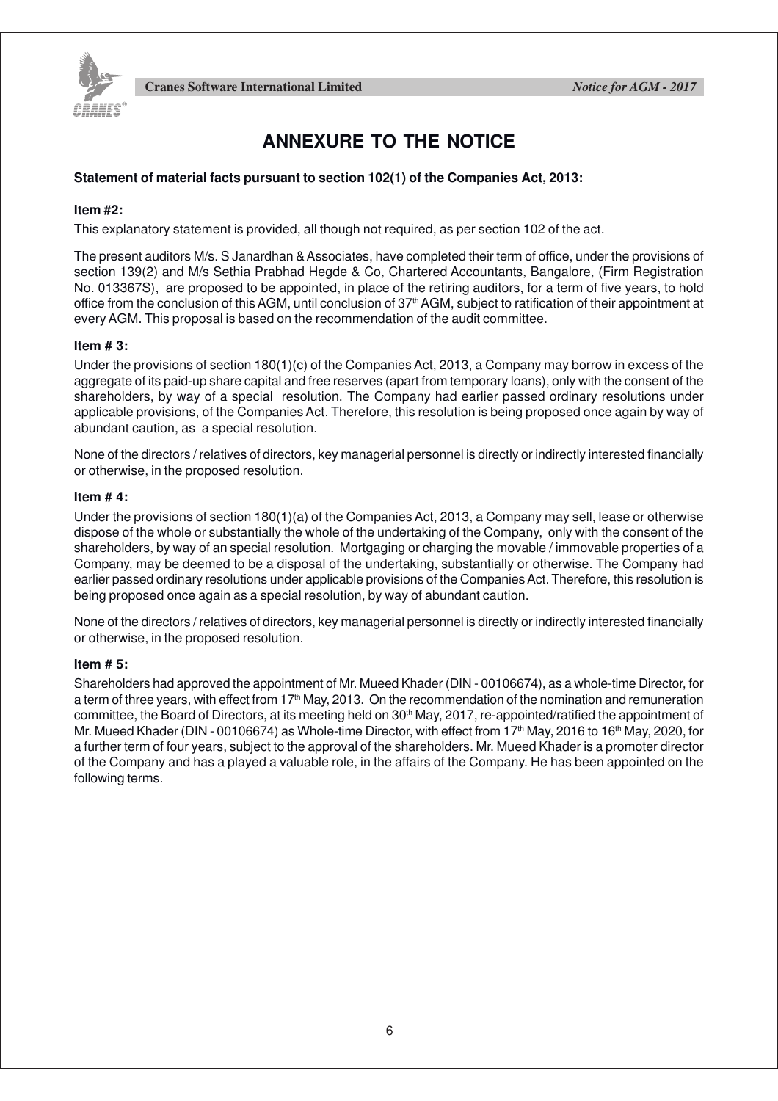

## **ANNEXURE TO THE NOTICE**

### **Statement of material facts pursuant to section 102(1) of the Companies Act, 2013:**

### **Item #2:**

This explanatory statement is provided, all though not required, as per section 102 of the act.

The present auditors M/s. S Janardhan & Associates, have completed their term of office, under the provisions of section 139(2) and M/s Sethia Prabhad Hegde & Co, Chartered Accountants, Bangalore, (Firm Registration No. 013367S), are proposed to be appointed, in place of the retiring auditors, for a term of five years, to hold office from the conclusion of this AGM, until conclusion of  $37<sup>th</sup>$  AGM, subject to ratification of their appointment at every AGM. This proposal is based on the recommendation of the audit committee.

### **Item # 3:**

Under the provisions of section 180(1)(c) of the Companies Act, 2013, a Company may borrow in excess of the aggregate of its paid-up share capital and free reserves (apart from temporary loans), only with the consent of the shareholders, by way of a special resolution. The Company had earlier passed ordinary resolutions under applicable provisions, of the Companies Act. Therefore, this resolution is being proposed once again by way of abundant caution, as a special resolution.

None of the directors / relatives of directors, key managerial personnel is directly or indirectly interested financially or otherwise, in the proposed resolution.

### **Item # 4:**

Under the provisions of section 180(1)(a) of the Companies Act, 2013, a Company may sell, lease or otherwise dispose of the whole or substantially the whole of the undertaking of the Company, only with the consent of the shareholders, by way of an special resolution. Mortgaging or charging the movable / immovable properties of a Company, may be deemed to be a disposal of the undertaking, substantially or otherwise. The Company had earlier passed ordinary resolutions under applicable provisions of the Companies Act. Therefore, this resolution is being proposed once again as a special resolution, by way of abundant caution.

None of the directors / relatives of directors, key managerial personnel is directly or indirectly interested financially or otherwise, in the proposed resolution.

### **Item # 5:**

Shareholders had approved the appointment of Mr. Mueed Khader (DIN - 00106674), as a whole-time Director, for a term of three years, with effect from 17<sup>th</sup> May, 2013. On the recommendation of the nomination and remuneration committee, the Board of Directors, at its meeting held on 30<sup>th</sup> May, 2017, re-appointed/ratified the appointment of Mr. Mueed Khader (DIN - 00106674) as Whole-time Director, with effect from 17th May, 2016 to 16th May, 2020, for a further term of four years, subject to the approval of the shareholders. Mr. Mueed Khader is a promoter director of the Company and has a played a valuable role, in the affairs of the Company. He has been appointed on the following terms.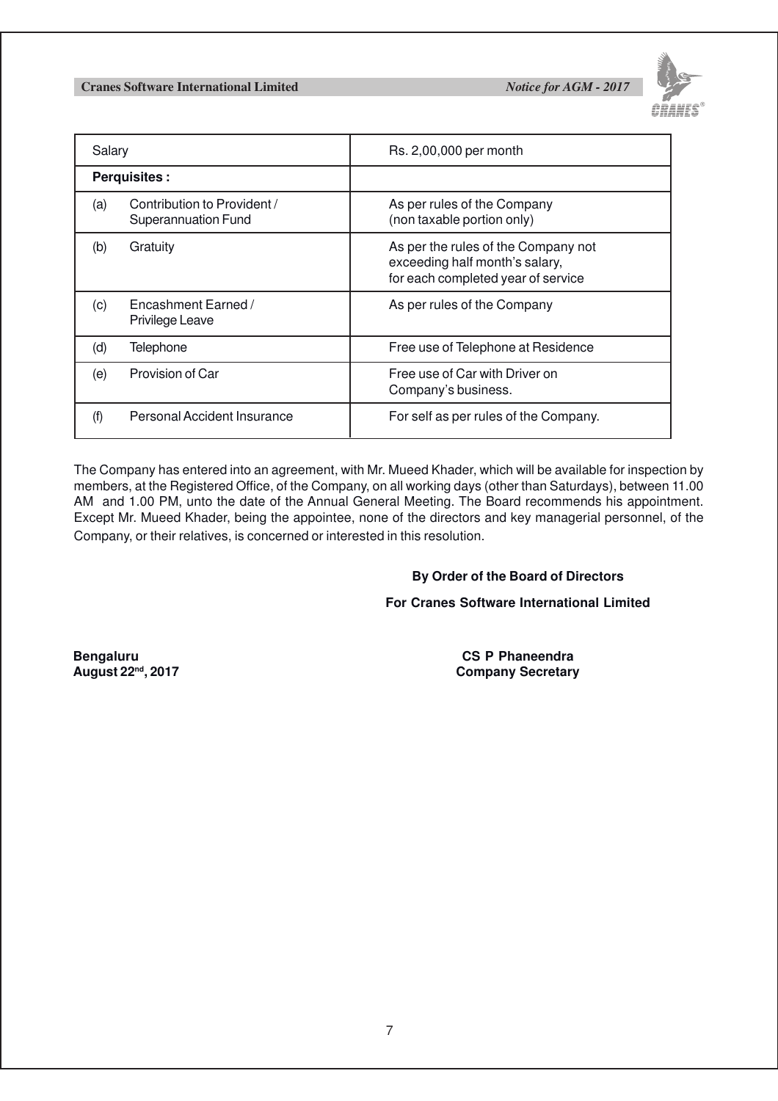

| Salary              |                                                           | Rs. 2,00,000 per month                                                                                      |
|---------------------|-----------------------------------------------------------|-------------------------------------------------------------------------------------------------------------|
| <b>Perquisites:</b> |                                                           |                                                                                                             |
| (a)                 | Contribution to Provident /<br><b>Superannuation Fund</b> | As per rules of the Company<br>(non taxable portion only)                                                   |
| (b)                 | Gratuity                                                  | As per the rules of the Company not<br>exceeding half month's salary,<br>for each completed year of service |
| (c)                 | Encashment Earned /<br>Privilege Leave                    | As per rules of the Company                                                                                 |
| (d)                 | Telephone                                                 | Free use of Telephone at Residence                                                                          |
| (e)                 | Provision of Car                                          | Free use of Car with Driver on<br>Company's business.                                                       |
| (f)                 | Personal Accident Insurance                               | For self as per rules of the Company.                                                                       |

The Company has entered into an agreement, with Mr. Mueed Khader, which will be available for inspection by members, at the Registered Office, of the Company, on all working days (other than Saturdays), between 11.00 AM and 1.00 PM, unto the date of the Annual General Meeting. The Board recommends his appointment. Except Mr. Mueed Khader, being the appointee, none of the directors and key managerial personnel, of the Company, or their relatives, is concerned or interested in this resolution.

### **By Order of the Board of Directors**

**For Cranes Software International Limited**

**Bengaluru 1998**<br> **Bengaluru 1998**<br> **CS P Phaneendra**<br> **CS P Phaneendra**<br> **CS P Phaneendra Company Secretary**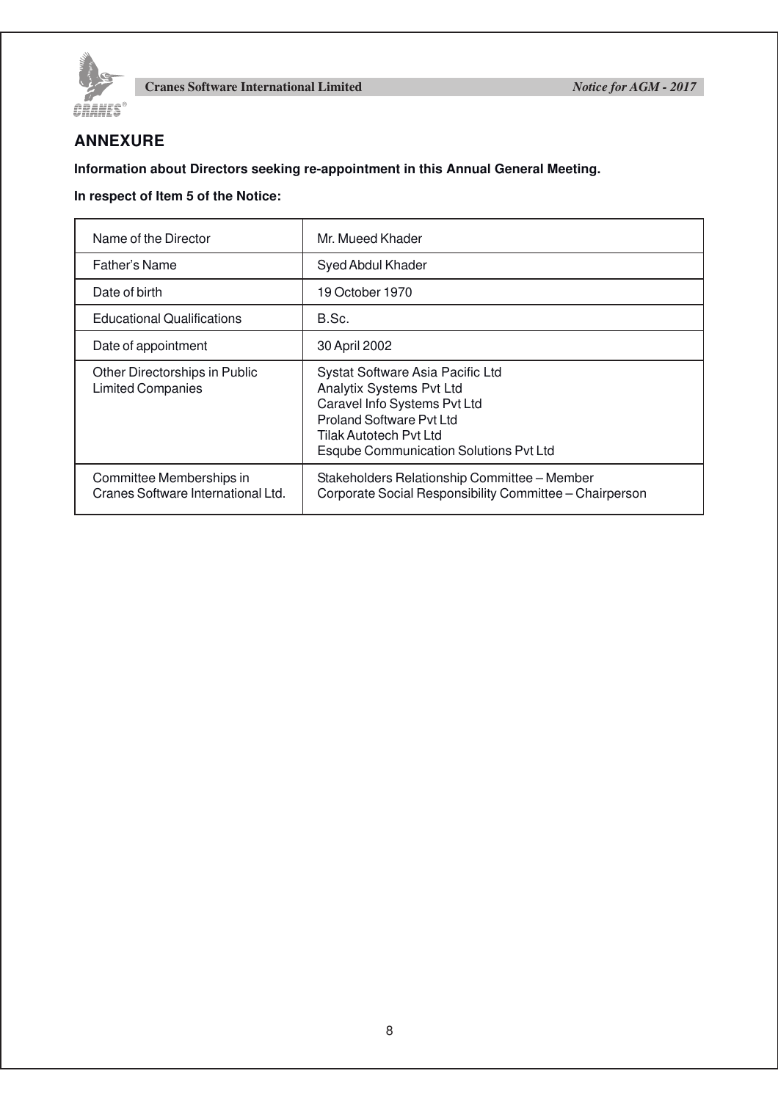

### **ANNEXURE**

**Information about Directors seeking re-appointment in this Annual General Meeting.**

### **In respect of Item 5 of the Notice:**

| Name of the Director                                           | Mr. Mueed Khader                                                                                                                                                                                           |  |
|----------------------------------------------------------------|------------------------------------------------------------------------------------------------------------------------------------------------------------------------------------------------------------|--|
| Father's Name                                                  | Syed Abdul Khader                                                                                                                                                                                          |  |
| Date of birth                                                  | 19 October 1970                                                                                                                                                                                            |  |
| <b>Educational Qualifications</b>                              | B.Sc.                                                                                                                                                                                                      |  |
| Date of appointment                                            | 30 April 2002                                                                                                                                                                                              |  |
| Other Directorships in Public<br><b>Limited Companies</b>      | Systat Software Asia Pacific Ltd<br>Analytix Systems Pvt Ltd<br>Caravel Info Systems Pvt Ltd<br><b>Proland Software Pvt Ltd</b><br>Tilak Autotech Pvt Ltd<br><b>Esqube Communication Solutions Pvt Ltd</b> |  |
| Committee Memberships in<br>Cranes Software International Ltd. | Stakeholders Relationship Committee - Member<br>Corporate Social Responsibility Committee - Chairperson                                                                                                    |  |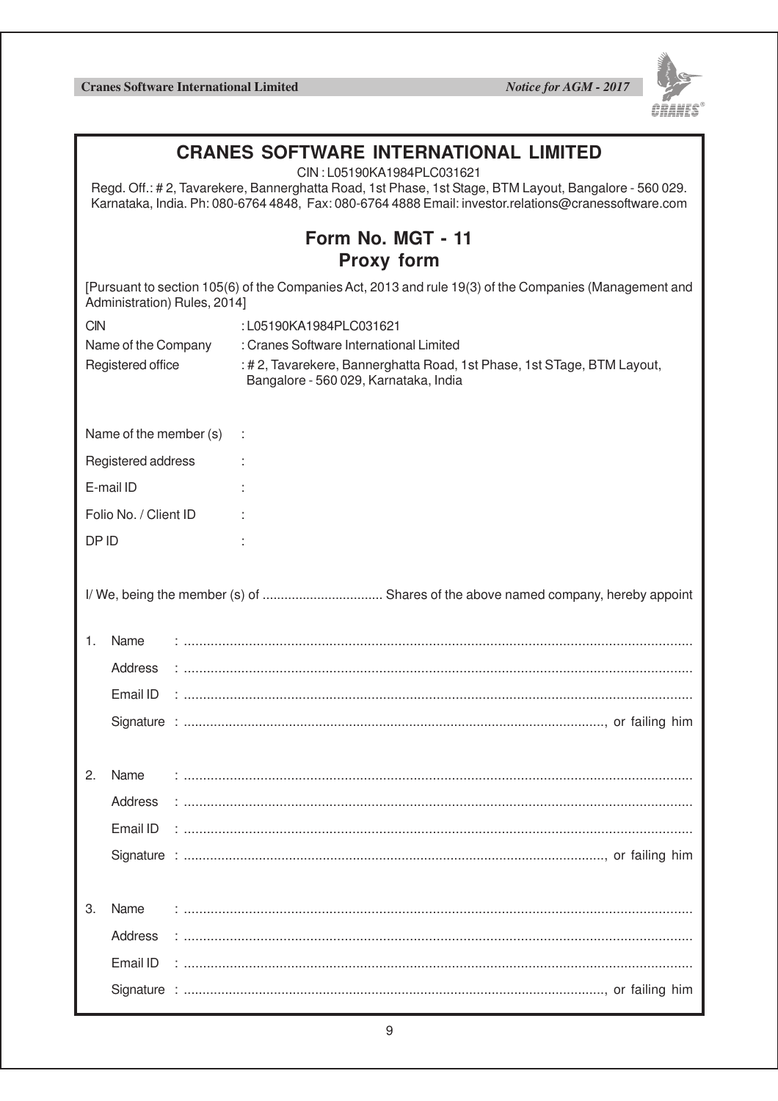

| <b>CRANES SOFTWARE INTERNATIONAL LIMITED</b><br>CIN: L05190KA1984PLC031621<br>Regd. Off.: #2, Tavarekere, Bannerghatta Road, 1st Phase, 1st Stage, BTM Layout, Bangalore - 560 029.<br>Karnataka, India. Ph: 080-6764 4848, Fax: 080-6764 4888 Email: investor.relations@cranessoftware.com |                                        |                                                                                                                 |  |  |  |  |
|---------------------------------------------------------------------------------------------------------------------------------------------------------------------------------------------------------------------------------------------------------------------------------------------|----------------------------------------|-----------------------------------------------------------------------------------------------------------------|--|--|--|--|
|                                                                                                                                                                                                                                                                                             | Form No. MGT - 11<br><b>Proxy form</b> |                                                                                                                 |  |  |  |  |
| [Pursuant to section 105(6) of the Companies Act, 2013 and rule 19(3) of the Companies (Management and<br>Administration) Rules, 2014]                                                                                                                                                      |                                        |                                                                                                                 |  |  |  |  |
| <b>CIN</b>                                                                                                                                                                                                                                                                                  |                                        | :L05190KA1984PLC031621                                                                                          |  |  |  |  |
|                                                                                                                                                                                                                                                                                             | Name of the Company                    | : Cranes Software International Limited                                                                         |  |  |  |  |
| Registered office                                                                                                                                                                                                                                                                           |                                        | : #2, Tavarekere, Bannerghatta Road, 1st Phase, 1st STage, BTM Layout,<br>Bangalore - 560 029, Karnataka, India |  |  |  |  |
| Name of the member (s)                                                                                                                                                                                                                                                                      |                                        |                                                                                                                 |  |  |  |  |
|                                                                                                                                                                                                                                                                                             | Registered address                     |                                                                                                                 |  |  |  |  |
|                                                                                                                                                                                                                                                                                             | E-mail ID                              |                                                                                                                 |  |  |  |  |
|                                                                                                                                                                                                                                                                                             | Folio No. / Client ID                  |                                                                                                                 |  |  |  |  |
|                                                                                                                                                                                                                                                                                             |                                        |                                                                                                                 |  |  |  |  |
| DP ID                                                                                                                                                                                                                                                                                       |                                        |                                                                                                                 |  |  |  |  |
|                                                                                                                                                                                                                                                                                             |                                        |                                                                                                                 |  |  |  |  |
| 1.                                                                                                                                                                                                                                                                                          | Name                                   |                                                                                                                 |  |  |  |  |
|                                                                                                                                                                                                                                                                                             | Address                                |                                                                                                                 |  |  |  |  |
|                                                                                                                                                                                                                                                                                             | Email ID                               |                                                                                                                 |  |  |  |  |
|                                                                                                                                                                                                                                                                                             |                                        |                                                                                                                 |  |  |  |  |
| 2.                                                                                                                                                                                                                                                                                          | Name                                   |                                                                                                                 |  |  |  |  |
|                                                                                                                                                                                                                                                                                             | Address                                |                                                                                                                 |  |  |  |  |
|                                                                                                                                                                                                                                                                                             | Email ID                               |                                                                                                                 |  |  |  |  |
|                                                                                                                                                                                                                                                                                             |                                        |                                                                                                                 |  |  |  |  |
|                                                                                                                                                                                                                                                                                             |                                        |                                                                                                                 |  |  |  |  |
|                                                                                                                                                                                                                                                                                             |                                        |                                                                                                                 |  |  |  |  |
| 3.                                                                                                                                                                                                                                                                                          | Name                                   |                                                                                                                 |  |  |  |  |
|                                                                                                                                                                                                                                                                                             | Address                                |                                                                                                                 |  |  |  |  |
|                                                                                                                                                                                                                                                                                             | Email ID                               |                                                                                                                 |  |  |  |  |
|                                                                                                                                                                                                                                                                                             |                                        |                                                                                                                 |  |  |  |  |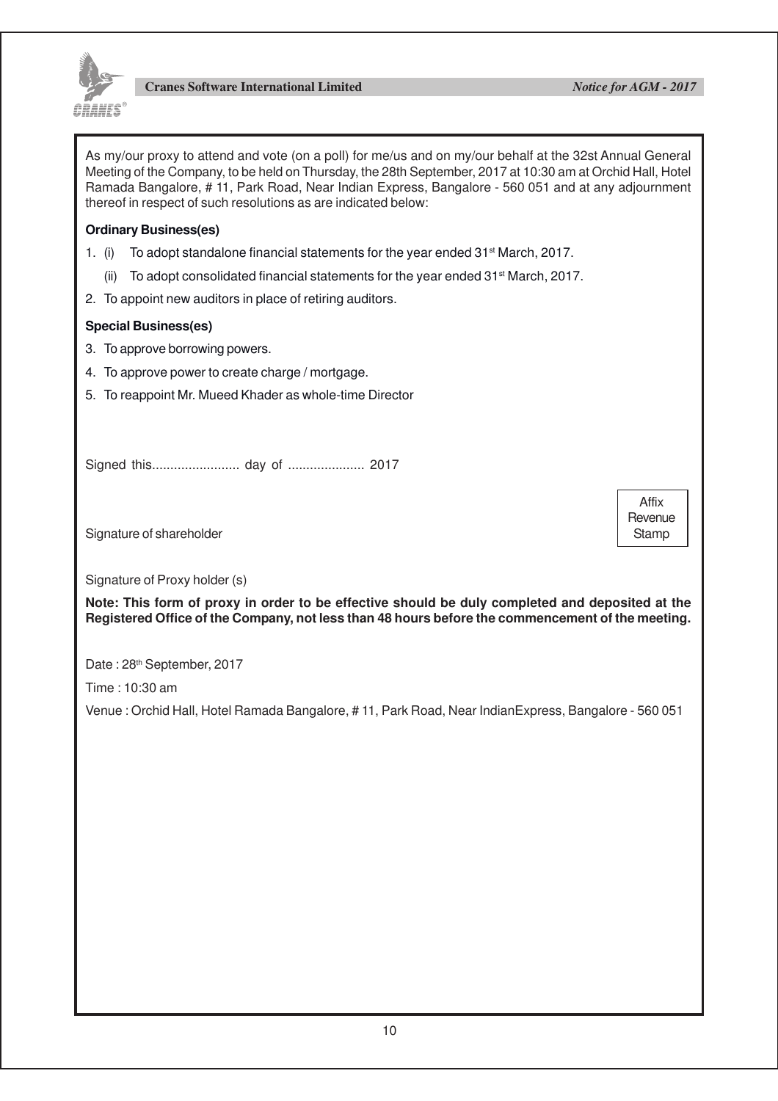

Affix **Revenue** Stamp

As my/our proxy to attend and vote (on a poll) for me/us and on my/our behalf at the 32st Annual General Meeting of the Company, to be held on Thursday, the 28th September, 2017 at 10:30 am at Orchid Hall, Hotel Ramada Bangalore, # 11, Park Road, Near Indian Express, Bangalore - 560 051 and at any adjournment thereof in respect of such resolutions as are indicated below:

### **Ordinary Business(es)**

- 1. (i) To adopt standalone financial statements for the year ended  $31<sup>st</sup>$  March, 2017.
	- (ii) To adopt consolidated financial statements for the year ended 31st March, 2017.
- 2. To appoint new auditors in place of retiring auditors.

### **Special Business(es)**

- 3. To approve borrowing powers.
- 4. To approve power to create charge / mortgage.
- 5. To reappoint Mr. Mueed Khader as whole-time Director

Signed this........................ day of ..................... 2017

Signature of shareholder

Signature of Proxy holder (s)

**Note: This form of proxy in order to be effective should be duly completed and deposited at the Registered Office of the Company, not less than 48 hours before the commencement of the meeting.**

Date: 28<sup>th</sup> September, 2017

Time : 10:30 am

Venue : Orchid Hall, Hotel Ramada Bangalore, # 11, Park Road, Near IndianExpress, Bangalore - 560 051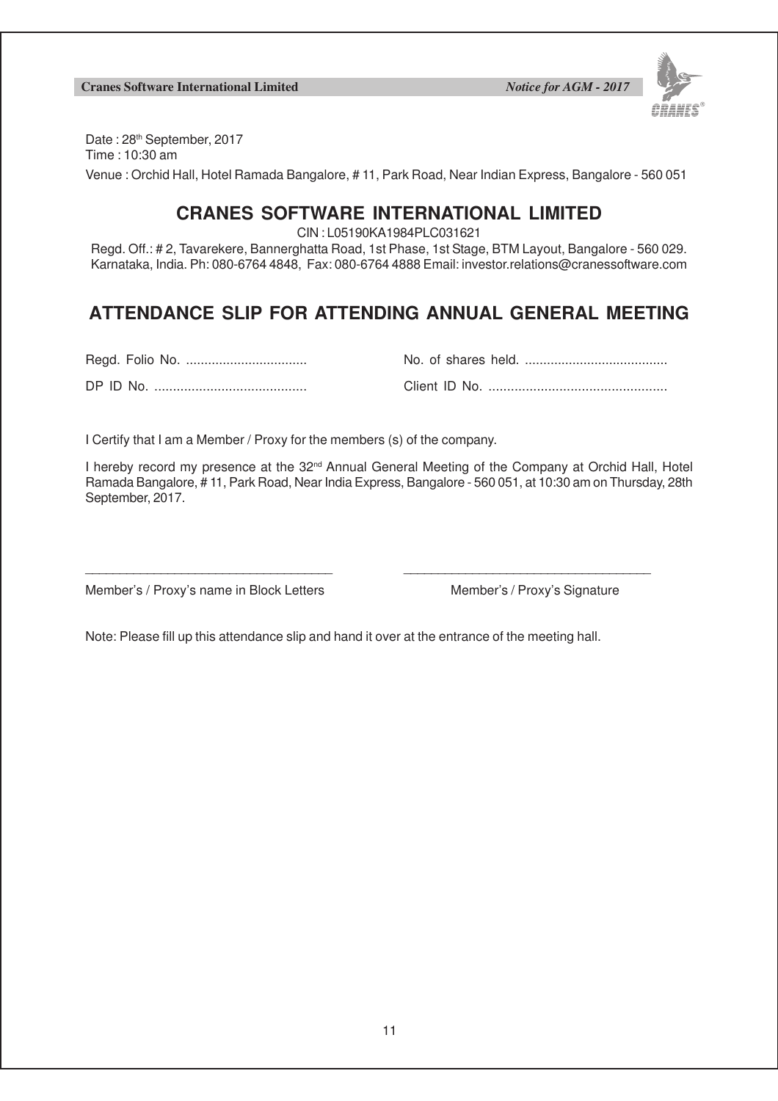

Date: 28<sup>th</sup> September, 2017 Time : 10:30 am Venue : Orchid Hall, Hotel Ramada Bangalore, # 11, Park Road, Near Indian Express, Bangalore - 560 051

### **CRANES SOFTWARE INTERNATIONAL LIMITED**

CIN : L05190KA1984PLC031621

Regd. Off.: # 2, Tavarekere, Bannerghatta Road, 1st Phase, 1st Stage, BTM Layout, Bangalore - 560 029. Karnataka, India. Ph: 080-6764 4848, Fax: 080-6764 4888 Email: investor.relations@cranessoftware.com

# **ATTENDANCE SLIP FOR ATTENDING ANNUAL GENERAL MEETING**

|--|--|

DP ID No. ......................................... Client ID No. ................................................

| מות חו פח | Client ID No |
|-----------|--------------|

I Certify that I am a Member / Proxy for the members (s) of the company.

I hereby record my presence at the 32<sup>nd</sup> Annual General Meeting of the Company at Orchid Hall, Hotel Ramada Bangalore, # 11, Park Road, Near India Express, Bangalore - 560 051, at 10:30 am on Thursday, 28th September, 2017.

Member's / Proxy's name in Block Letters Member's / Proxy's Signature

Note: Please fill up this attendance slip and hand it over at the entrance of the meeting hall.

\_\_\_\_\_\_\_\_\_\_\_\_\_\_\_\_\_\_\_\_\_\_\_\_\_\_\_\_\_\_\_\_\_\_\_\_ \_\_\_\_\_\_\_\_\_\_\_\_\_\_\_\_\_\_\_\_\_\_\_\_\_\_\_\_\_\_\_\_\_\_\_\_